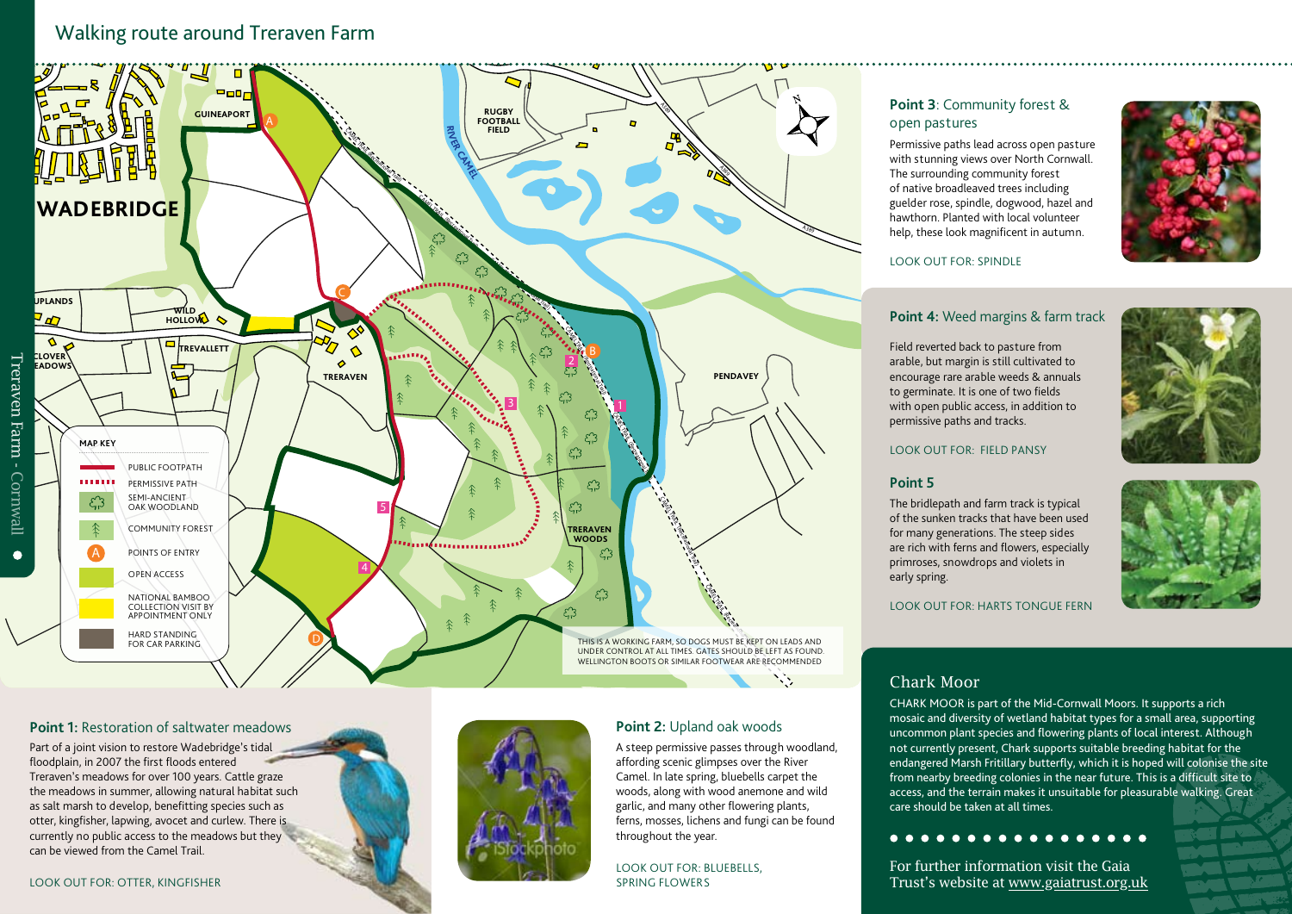## Walking route around Treraven Farm



### **Point 1:** Restoration of saltwater meadows

Part of a joint vision to restore Wadebridge's tidal floodplain, in 2007 the first floods entered Treraven's meadows for over 100 years. Cattle graze the meadows in summer, allowing natural habitat such as salt marsh to develop, benefitting species such as otter, kingfisher, lapwing, avocet and curlew. There is currently no public access to the meadows but they can be viewed from the Camel Trail.

![](_page_0_Picture_5.jpeg)

## **Point 2:** Upland oak woods

A steep permissive passes through woodland, affording scenic glimpses over the River Camel. In late spring, bluebells carpet the woods, along with wood anemone and wild garlic, and many other flowering plants, ferns, mosses, lichens and fungi can be found throughout the year.

Look out for: bluebells,

## **Point 3**: Community forest & open pastures

Permissive paths lead across open pasture with stunning views over North Cornwall. The surrounding community forest of native broadleaved trees including guelder rose, spindle, dogwood, hazel and hawthorn. Planted with local volunteer help, these look magnificent in autumn.

![](_page_0_Picture_11.jpeg)

### Look out for: Spindle

## **Point 4:** Weed margins & farm track

Field reverted back to pasture from arable, but margin is still cultivated to encourage rare arable weeds & annuals to germinate. It is one of two fields with open public access, in addition to permissive paths and tracks.

#### Look out for: Field pansy

### **Point 5**

The bridlepath and farm track is typical of the sunken tracks that have been used for many generations. The steep sides are rich with ferns and flowers, especially primroses, snowdrops and violets in early spring.

Look out for: Harts Tongue Fern

## Chark Moor

CHARK MOOR is part of the Mid-Cornwall Moors. It supports a rich mosaic and diversity of wetland habitat types for a small area, supporting uncommon plant species and flowering plants of local interest. Although not currently present, Chark supports suitable breeding habitat for the endangered Marsh Fritillary butterfly, which it is hoped will colonise the site from nearby breeding colonies in the near future. This is a difficult site to access, and the terrain makes it unsuitable for pleasurable walking. Great care should be taken at all times.

For further information visit the Gaia Trust's website at www.gaiatrust.org.uk

![](_page_0_Picture_23.jpeg)